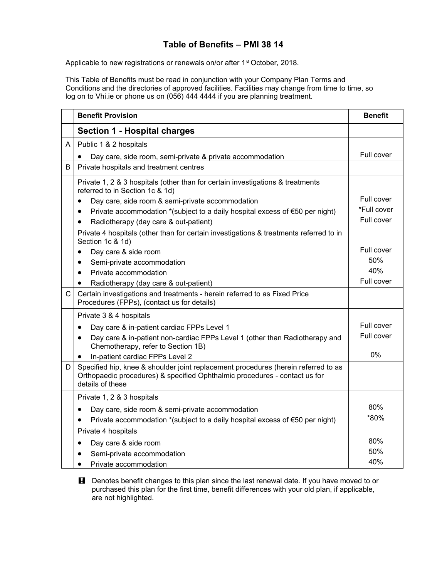## **Table of Benefits – PMI 38 14**

Applicable to new registrations or renewals on/or after 1<sup>st</sup> October, 2018.

This Table of Benefits must be read in conjunction with your Company Plan Terms and Conditions and the directories of approved facilities. Facilities may change from time to time, so log on to Vhi.ie or phone us on (056) 444 4444 if you are planning treatment.

|   | <b>Benefit Provision</b>                                                                                                                                                             | <b>Benefit</b> |
|---|--------------------------------------------------------------------------------------------------------------------------------------------------------------------------------------|----------------|
|   | <b>Section 1 - Hospital charges</b>                                                                                                                                                  |                |
| A | Public 1 & 2 hospitals                                                                                                                                                               |                |
|   | Day care, side room, semi-private & private accommodation                                                                                                                            | Full cover     |
| B | Private hospitals and treatment centres                                                                                                                                              |                |
|   | Private 1, 2 & 3 hospitals (other than for certain investigations & treatments<br>referred to in Section 1c & 1d)                                                                    |                |
|   | Day care, side room & semi-private accommodation                                                                                                                                     | Full cover     |
|   | Private accommodation *(subject to a daily hospital excess of $\epsilon$ 50 per night)                                                                                               | *Full cover    |
|   | Radiotherapy (day care & out-patient)<br>$\bullet$                                                                                                                                   | Full cover     |
|   | Private 4 hospitals (other than for certain investigations & treatments referred to in<br>Section 1c & 1d)                                                                           |                |
|   | Day care & side room<br>٠                                                                                                                                                            | Full cover     |
|   | Semi-private accommodation<br>$\bullet$                                                                                                                                              | 50%            |
|   | Private accommodation<br>$\bullet$                                                                                                                                                   | 40%            |
|   | Radiotherapy (day care & out-patient)<br>$\bullet$                                                                                                                                   | Full cover     |
| C | Certain investigations and treatments - herein referred to as Fixed Price<br>Procedures (FPPs), (contact us for details)                                                             |                |
|   | Private 3 & 4 hospitals                                                                                                                                                              |                |
|   | Day care & in-patient cardiac FPPs Level 1<br>$\bullet$                                                                                                                              | Full cover     |
|   | Day care & in-patient non-cardiac FPPs Level 1 (other than Radiotherapy and<br>$\bullet$<br>Chemotherapy, refer to Section 1B)                                                       | Full cover     |
|   | In-patient cardiac FPPs Level 2<br>$\bullet$                                                                                                                                         | 0%             |
| D | Specified hip, knee & shoulder joint replacement procedures (herein referred to as<br>Orthopaedic procedures) & specified Ophthalmic procedures - contact us for<br>details of these |                |
|   | Private 1, 2 & 3 hospitals                                                                                                                                                           |                |
|   | Day care, side room & semi-private accommodation<br>$\bullet$                                                                                                                        | 80%            |
|   | Private accommodation *(subject to a daily hospital excess of €50 per night)                                                                                                         | *80%           |
|   | Private 4 hospitals                                                                                                                                                                  |                |
|   | Day care & side room<br>$\bullet$                                                                                                                                                    | 80%            |
|   | Semi-private accommodation                                                                                                                                                           | 50%            |
|   | Private accommodation<br>$\bullet$                                                                                                                                                   | 40%            |

**H** Denotes benefit changes to this plan since the last renewal date. If you have moved to or purchased this plan for the first time, benefit differences with your old plan, if applicable, are not highlighted.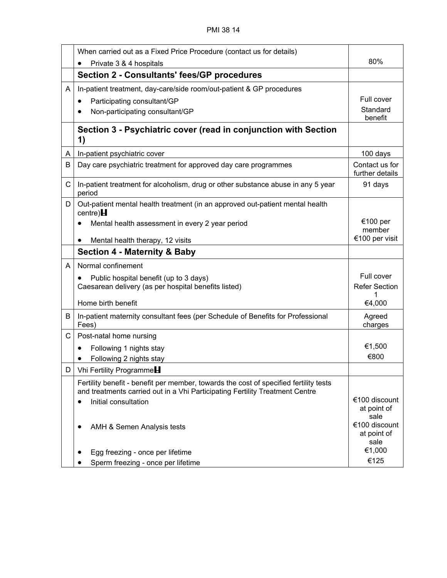|              | When carried out as a Fixed Price Procedure (contact us for details)                                                                                                  |                                      |
|--------------|-----------------------------------------------------------------------------------------------------------------------------------------------------------------------|--------------------------------------|
|              | Private 3 & 4 hospitals                                                                                                                                               | 80%                                  |
|              | <b>Section 2 - Consultants' fees/GP procedures</b>                                                                                                                    |                                      |
| A            | In-patient treatment, day-care/side room/out-patient & GP procedures                                                                                                  |                                      |
|              | Participating consultant/GP<br>$\bullet$                                                                                                                              | Full cover                           |
|              | Non-participating consultant/GP                                                                                                                                       | Standard<br>benefit                  |
|              | Section 3 - Psychiatric cover (read in conjunction with Section<br>1)                                                                                                 |                                      |
| A            | In-patient psychiatric cover                                                                                                                                          | 100 days                             |
| В            | Day care psychiatric treatment for approved day care programmes                                                                                                       | Contact us for<br>further details    |
| $\mathsf{C}$ | In-patient treatment for alcoholism, drug or other substance abuse in any 5 year<br>period                                                                            | 91 days                              |
| D            | Out-patient mental health treatment (in an approved out-patient mental health<br>centre) $H$                                                                          |                                      |
|              | Mental health assessment in every 2 year period                                                                                                                       | €100 per                             |
|              | Mental health therapy, 12 visits<br>$\bullet$                                                                                                                         | member<br>€100 per visit             |
|              | <b>Section 4 - Maternity &amp; Baby</b>                                                                                                                               |                                      |
| A            | Normal confinement                                                                                                                                                    |                                      |
|              | Public hospital benefit (up to 3 days)                                                                                                                                | Full cover                           |
|              | Caesarean delivery (as per hospital benefits listed)                                                                                                                  | <b>Refer Section</b>                 |
|              |                                                                                                                                                                       |                                      |
|              | Home birth benefit                                                                                                                                                    | €4,000                               |
| B            | In-patient maternity consultant fees (per Schedule of Benefits for Professional<br>Fees)                                                                              | Agreed<br>charges                    |
| C            | Post-natal home nursing                                                                                                                                               |                                      |
|              | Following 1 nights stay                                                                                                                                               | €1,500                               |
|              | Following 2 nights stay                                                                                                                                               | €800                                 |
| D            | Vhi Fertility Programme <sup>H</sup>                                                                                                                                  |                                      |
|              | Fertility benefit - benefit per member, towards the cost of specified fertility tests<br>and treatments carried out in a Vhi Participating Fertility Treatment Centre |                                      |
|              | Initial consultation                                                                                                                                                  | €100 discount<br>at point of<br>sale |
|              | AMH & Semen Analysis tests                                                                                                                                            | €100 discount<br>at point of<br>sale |
|              | Egg freezing - once per lifetime                                                                                                                                      | €1,000                               |
|              | Sperm freezing - once per lifetime                                                                                                                                    | €125                                 |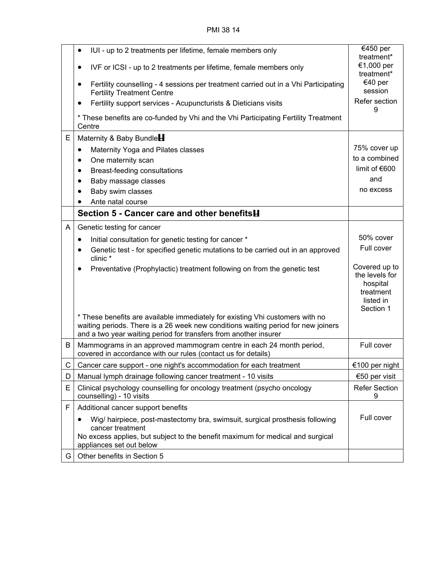PMI 38 14

|    | IUI - up to 2 treatments per lifetime, female members only<br>٠                                                                                                                                                                        | €450 per<br>treatment*                                                             |
|----|----------------------------------------------------------------------------------------------------------------------------------------------------------------------------------------------------------------------------------------|------------------------------------------------------------------------------------|
|    | IVF or ICSI - up to 2 treatments per lifetime, female members only<br>٠                                                                                                                                                                | €1,000 per<br>treatment*                                                           |
|    | Fertility counselling - 4 sessions per treatment carried out in a Vhi Participating<br>٠<br><b>Fertility Treatment Centre</b>                                                                                                          | €40 per<br>session                                                                 |
|    | Fertility support services - Acupuncturists & Dieticians visits<br>٠                                                                                                                                                                   | Refer section<br>9                                                                 |
|    | * These benefits are co-funded by Vhi and the Vhi Participating Fertility Treatment<br>Centre                                                                                                                                          |                                                                                    |
| E  | Maternity & Baby Bundle                                                                                                                                                                                                                |                                                                                    |
|    | Maternity Yoga and Pilates classes<br>$\bullet$                                                                                                                                                                                        | 75% cover up                                                                       |
|    | One maternity scan<br>٠                                                                                                                                                                                                                | to a combined                                                                      |
|    | Breast-feeding consultations<br>$\bullet$                                                                                                                                                                                              | limit of $€600$                                                                    |
|    | Baby massage classes                                                                                                                                                                                                                   | and                                                                                |
|    | Baby swim classes                                                                                                                                                                                                                      | no excess                                                                          |
|    | Ante natal course                                                                                                                                                                                                                      |                                                                                    |
|    | Section 5 - Cancer care and other benefits <b>H</b>                                                                                                                                                                                    |                                                                                    |
| A  | Genetic testing for cancer                                                                                                                                                                                                             |                                                                                    |
|    | Initial consultation for genetic testing for cancer *<br>٠                                                                                                                                                                             | 50% cover                                                                          |
|    | Genetic test - for specified genetic mutations to be carried out in an approved<br>٠<br>clinic *                                                                                                                                       | Full cover                                                                         |
|    | Preventative (Prophylactic) treatment following on from the genetic test<br>٠                                                                                                                                                          | Covered up to<br>the levels for<br>hospital<br>treatment<br>listed in<br>Section 1 |
|    | * These benefits are available immediately for existing Vhi customers with no<br>waiting periods. There is a 26 week new conditions waiting period for new joiners<br>and a two year waiting period for transfers from another insurer |                                                                                    |
| B  | Mammograms in an approved mammogram centre in each 24 month period,<br>covered in accordance with our rules (contact us for details)                                                                                                   | Full cover                                                                         |
| C  | Cancer care support - one night's accommodation for each treatment                                                                                                                                                                     | €100 per night                                                                     |
| D  | Manual lymph drainage following cancer treatment - 10 visits                                                                                                                                                                           | €50 per visit                                                                      |
| E  | Clinical psychology counselling for oncology treatment (psycho oncology<br>counselling) - 10 visits                                                                                                                                    | <b>Refer Section</b><br>9                                                          |
| F  | Additional cancer support benefits                                                                                                                                                                                                     |                                                                                    |
|    | Wig/ hairpiece, post-mastectomy bra, swimsuit, surgical prosthesis following<br>cancer treatment                                                                                                                                       | Full cover                                                                         |
|    | No excess applies, but subject to the benefit maximum for medical and surgical<br>appliances set out below                                                                                                                             |                                                                                    |
| G. | Other benefits in Section 5                                                                                                                                                                                                            |                                                                                    |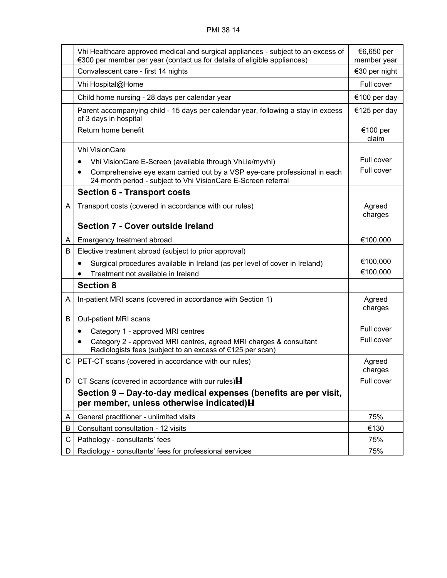|    | Vhi Healthcare approved medical and surgical appliances - subject to an excess of<br>€300 per member per year (contact us for details of eligible appliances) | €6,650 per<br>member year |
|----|---------------------------------------------------------------------------------------------------------------------------------------------------------------|---------------------------|
|    | Convalescent care - first 14 nights                                                                                                                           | €30 per night             |
|    | Vhi Hospital@Home                                                                                                                                             | Full cover                |
|    | Child home nursing - 28 days per calendar year                                                                                                                |                           |
|    | Parent accompanying child - 15 days per calendar year, following a stay in excess<br>of 3 days in hospital                                                    | €125 per day              |
|    | Return home benefit                                                                                                                                           | €100 per<br>claim         |
|    | <b>Vhi VisionCare</b>                                                                                                                                         |                           |
|    | Vhi VisionCare E-Screen (available through Vhi.ie/myvhi)<br>٠                                                                                                 | Full cover                |
|    | Comprehensive eye exam carried out by a VSP eye-care professional in each<br>$\bullet$<br>24 month period - subject to Vhi VisionCare E-Screen referral       | Full cover                |
|    | <b>Section 6 - Transport costs</b>                                                                                                                            |                           |
| A  | Transport costs (covered in accordance with our rules)                                                                                                        | Agreed<br>charges         |
|    | <b>Section 7 - Cover outside Ireland</b>                                                                                                                      |                           |
| A  | Emergency treatment abroad                                                                                                                                    | €100,000                  |
| B  | Elective treatment abroad (subject to prior approval)                                                                                                         |                           |
|    | Surgical procedures available in Ireland (as per level of cover in Ireland)<br>$\bullet$                                                                      | €100,000                  |
|    | Treatment not available in Ireland                                                                                                                            | €100,000                  |
|    | <b>Section 8</b>                                                                                                                                              |                           |
| A  | In-patient MRI scans (covered in accordance with Section 1)                                                                                                   | Agreed<br>charges         |
| B  | Out-patient MRI scans                                                                                                                                         |                           |
|    | Category 1 - approved MRI centres<br>٠                                                                                                                        | Full cover                |
|    | Category 2 - approved MRI centres, agreed MRI charges & consultant<br>$\bullet$<br>Radiologists fees (subject to an excess of €125 per scan)                  | Full cover                |
| C  | PET-CT scans (covered in accordance with our rules)                                                                                                           | Agreed<br>charges         |
| D. | CT Scans (covered in accordance with our rules) $\blacksquare$                                                                                                | Full cover                |
|    | Section 9 – Day-to-day medical expenses (benefits are per visit,<br>per member, unless otherwise indicated) <b>H</b>                                          |                           |
| A  | General practitioner - unlimited visits                                                                                                                       | 75%                       |
| B  | Consultant consultation - 12 visits                                                                                                                           | €130                      |
| С  | Pathology - consultants' fees                                                                                                                                 | 75%                       |
| D. | Radiology - consultants' fees for professional services                                                                                                       | 75%                       |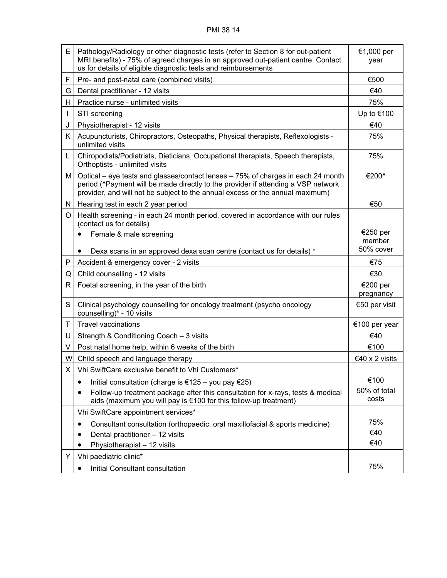| E  | Pathology/Radiology or other diagnostic tests (refer to Section 8 for out-patient<br>MRI benefits) - 75% of agreed charges in an approved out-patient centre. Contact<br>us for details of eligible diagnostic tests and reimbursements                | €1,000 per<br>year    |
|----|--------------------------------------------------------------------------------------------------------------------------------------------------------------------------------------------------------------------------------------------------------|-----------------------|
| F  | Pre- and post-natal care (combined visits)                                                                                                                                                                                                             | €500                  |
| G  | Dental practitioner - 12 visits                                                                                                                                                                                                                        | €40                   |
| H. | Practice nurse - unlimited visits                                                                                                                                                                                                                      | 75%                   |
|    | STI screening                                                                                                                                                                                                                                          | Up to €100            |
| J  | Physiotherapist - 12 visits                                                                                                                                                                                                                            | €40                   |
| K. | Acupuncturists, Chiropractors, Osteopaths, Physical therapists, Reflexologists -<br>unlimited visits                                                                                                                                                   | 75%                   |
| L  | Chiropodists/Podiatrists, Dieticians, Occupational therapists, Speech therapists,<br>Orthoptists - unlimited visits                                                                                                                                    | 75%                   |
| М  | Optical – eye tests and glasses/contact lenses – 75% of charges in each 24 month<br>period (^Payment will be made directly to the provider if attending a VSP network<br>provider, and will not be subject to the annual excess or the annual maximum) | €200^                 |
| N  | Hearing test in each 2 year period                                                                                                                                                                                                                     | €50                   |
| O  | Health screening - in each 24 month period, covered in accordance with our rules<br>(contact us for details)                                                                                                                                           |                       |
|    | Female & male screening                                                                                                                                                                                                                                | €250 per              |
|    |                                                                                                                                                                                                                                                        | member<br>50% cover   |
| P  | Dexa scans in an approved dexa scan centre (contact us for details) *                                                                                                                                                                                  | €75                   |
| Q  | Accident & emergency cover - 2 visits<br>Child counselling - 12 visits                                                                                                                                                                                 | €30                   |
| R  | Foetal screening, in the year of the birth                                                                                                                                                                                                             | €200 per              |
|    |                                                                                                                                                                                                                                                        | pregnancy             |
| S  | Clinical psychology counselling for oncology treatment (psycho oncology<br>counselling)* - 10 visits                                                                                                                                                   | €50 per visit         |
| T  | <b>Travel vaccinations</b>                                                                                                                                                                                                                             | €100 per year         |
| U  | Strength & Conditioning Coach - 3 visits                                                                                                                                                                                                               | €40                   |
| V  | Post natal home help, within 6 weeks of the birth                                                                                                                                                                                                      | €100                  |
| W  | Child speech and language therapy                                                                                                                                                                                                                      | €40 x 2 visits        |
| X. | Vhi SwiftCare exclusive benefit to Vhi Customers*                                                                                                                                                                                                      |                       |
|    | Initial consultation (charge is €125 – you pay €25)<br>٠                                                                                                                                                                                               | €100                  |
|    | Follow-up treatment package after this consultation for x-rays, tests & medical<br>$\bullet$<br>aids (maximum you will pay is €100 for this follow-up treatment)                                                                                       | 50% of total<br>costs |
|    | Vhi SwiftCare appointment services*                                                                                                                                                                                                                    |                       |
|    | Consultant consultation (orthopaedic, oral maxillofacial & sports medicine)                                                                                                                                                                            | 75%                   |
|    | Dental practitioner - 12 visits                                                                                                                                                                                                                        | €40                   |
|    | Physiotherapist - 12 visits                                                                                                                                                                                                                            | €40                   |
| Y  | Vhi paediatric clinic*                                                                                                                                                                                                                                 |                       |
|    | Initial Consultant consultation                                                                                                                                                                                                                        | 75%                   |